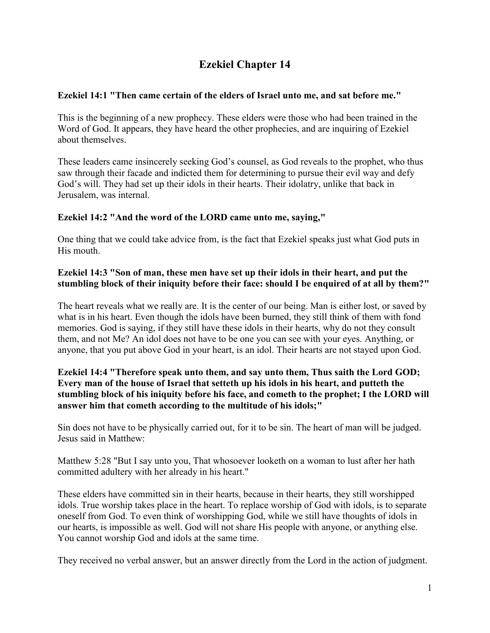# **Ezekiel Chapter 14**

# **Ezekiel 14:1 "Then came certain of the elders of Israel unto me, and sat before me."**

This is the beginning of a new prophecy. These elders were those who had been trained in the Word of God. It appears, they have heard the other prophecies, and are inquiring of Ezekiel about themselves.

These leaders came insincerely seeking God's counsel, as God reveals to the prophet, who thus saw through their facade and indicted them for determining to pursue their evil way and defy God's will. They had set up their idols in their hearts. Their idolatry, unlike that back in Jerusalem, was internal.

# **Ezekiel 14:2 "And the word of the LORD came unto me, saying,"**

One thing that we could take advice from, is the fact that Ezekiel speaks just what God puts in His mouth.

# **Ezekiel 14:3 "Son of man, these men have set up their idols in their heart, and put the stumbling block of their iniquity before their face: should I be enquired of at all by them?"**

The heart reveals what we really are. It is the center of our being. Man is either lost, or saved by what is in his heart. Even though the idols have been burned, they still think of them with fond memories. God is saying, if they still have these idols in their hearts, why do not they consult them, and not Me? An idol does not have to be one you can see with your eyes. Anything, or anyone, that you put above God in your heart, is an idol. Their hearts are not stayed upon God.

# **Ezekiel 14:4 "Therefore speak unto them, and say unto them, Thus saith the Lord GOD; Every man of the house of Israel that setteth up his idols in his heart, and putteth the stumbling block of his iniquity before his face, and cometh to the prophet; I the LORD will answer him that cometh according to the multitude of his idols;"**

Sin does not have to be physically carried out, for it to be sin. The heart of man will be judged. Jesus said in Matthew:

Matthew 5:28 "But I say unto you, That whosoever looketh on a woman to lust after her hath committed adultery with her already in his heart."

These elders have committed sin in their hearts, because in their hearts, they still worshipped idols. True worship takes place in the heart. To replace worship of God with idols, is to separate oneself from God. To even think of worshipping God, while we still have thoughts of idols in our hearts, is impossible as well. God will not share His people with anyone, or anything else. You cannot worship God and idols at the same time.

They received no verbal answer, but an answer directly from the Lord in the action of judgment.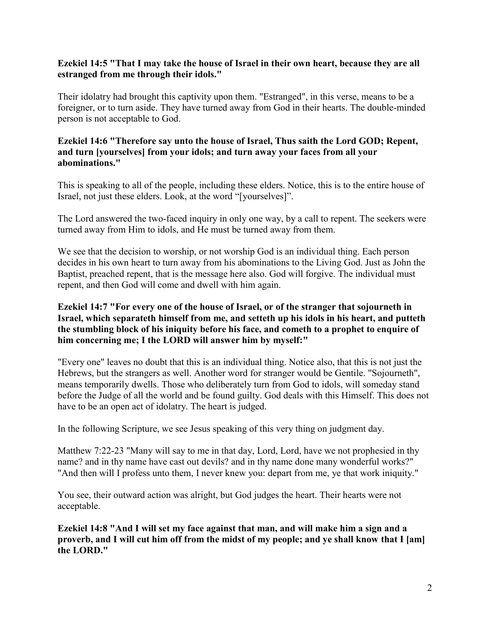## **Ezekiel 14:5 "That I may take the house of Israel in their own heart, because they are all estranged from me through their idols."**

Their idolatry had brought this captivity upon them. "Estranged", in this verse, means to be a foreigner, or to turn aside. They have turned away from God in their hearts. The double-minded person is not acceptable to God.

#### **Ezekiel 14:6 "Therefore say unto the house of Israel, Thus saith the Lord GOD; Repent, and turn [yourselves] from your idols; and turn away your faces from all your abominations."**

This is speaking to all of the people, including these elders. Notice, this is to the entire house of Israel, not just these elders. Look, at the word "[yourselves]".

The Lord answered the two-faced inquiry in only one way, by a call to repent. The seekers were turned away from Him to idols, and He must be turned away from them.

We see that the decision to worship, or not worship God is an individual thing. Each person decides in his own heart to turn away from his abominations to the Living God. Just as John the Baptist, preached repent, that is the message here also. God will forgive. The individual must repent, and then God will come and dwell with him again.

# **Ezekiel 14:7 "For every one of the house of Israel, or of the stranger that sojourneth in Israel, which separateth himself from me, and setteth up his idols in his heart, and putteth the stumbling block of his iniquity before his face, and cometh to a prophet to enquire of him concerning me; I the LORD will answer him by myself:"**

"Every one" leaves no doubt that this is an individual thing. Notice also, that this is not just the Hebrews, but the strangers as well. Another word for stranger would be Gentile. "Sojourneth", means temporarily dwells. Those who deliberately turn from God to idols, will someday stand before the Judge of all the world and be found guilty. God deals with this Himself. This does not have to be an open act of idolatry. The heart is judged.

In the following Scripture, we see Jesus speaking of this very thing on judgment day.

Matthew 7:22-23 "Many will say to me in that day, Lord, Lord, have we not prophesied in thy name? and in thy name have cast out devils? and in thy name done many wonderful works?" "And then will I profess unto them, I never knew you: depart from me, ye that work iniquity."

You see, their outward action was alright, but God judges the heart. Their hearts were not acceptable.

**Ezekiel 14:8 "And I will set my face against that man, and will make him a sign and a proverb, and I will cut him off from the midst of my people; and ye shall know that I [am] the LORD."**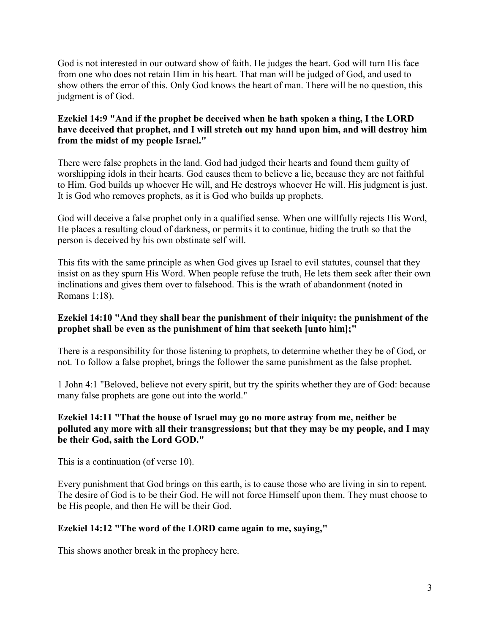God is not interested in our outward show of faith. He judges the heart. God will turn His face from one who does not retain Him in his heart. That man will be judged of God, and used to show others the error of this. Only God knows the heart of man. There will be no question, this judgment is of God.

# **Ezekiel 14:9 "And if the prophet be deceived when he hath spoken a thing, I the LORD have deceived that prophet, and I will stretch out my hand upon him, and will destroy him from the midst of my people Israel."**

There were false prophets in the land. God had judged their hearts and found them guilty of worshipping idols in their hearts. God causes them to believe a lie, because they are not faithful to Him. God builds up whoever He will, and He destroys whoever He will. His judgment is just. It is God who removes prophets, as it is God who builds up prophets.

God will deceive a false prophet only in a qualified sense. When one willfully rejects His Word, He places a resulting cloud of darkness, or permits it to continue, hiding the truth so that the person is deceived by his own obstinate self will.

This fits with the same principle as when God gives up Israel to evil statutes, counsel that they insist on as they spurn His Word. When people refuse the truth, He lets them seek after their own inclinations and gives them over to falsehood. This is the wrath of abandonment (noted in Romans 1:18).

# **Ezekiel 14:10 "And they shall bear the punishment of their iniquity: the punishment of the prophet shall be even as the punishment of him that seeketh [unto him];"**

There is a responsibility for those listening to prophets, to determine whether they be of God, or not. To follow a false prophet, brings the follower the same punishment as the false prophet.

1 John 4:1 "Beloved, believe not every spirit, but try the spirits whether they are of God: because many false prophets are gone out into the world."

# **Ezekiel 14:11 "That the house of Israel may go no more astray from me, neither be polluted any more with all their transgressions; but that they may be my people, and I may be their God, saith the Lord GOD."**

This is a continuation (of verse 10).

Every punishment that God brings on this earth, is to cause those who are living in sin to repent. The desire of God is to be their God. He will not force Himself upon them. They must choose to be His people, and then He will be their God.

# **Ezekiel 14:12 "The word of the LORD came again to me, saying,"**

This shows another break in the prophecy here.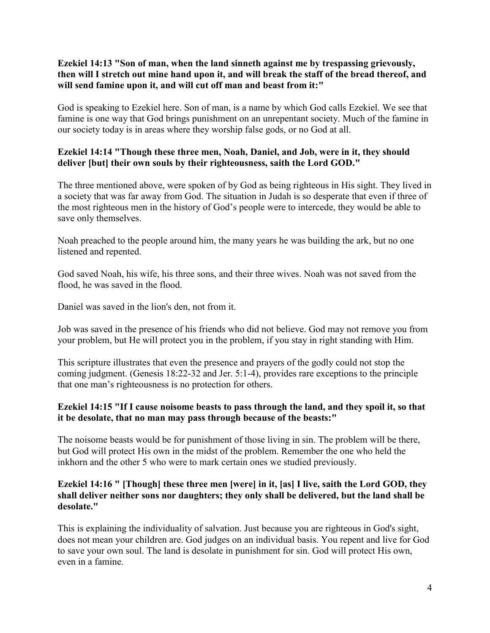# **Ezekiel 14:13 "Son of man, when the land sinneth against me by trespassing grievously, then will I stretch out mine hand upon it, and will break the staff of the bread thereof, and will send famine upon it, and will cut off man and beast from it:"**

God is speaking to Ezekiel here. Son of man, is a name by which God calls Ezekiel. We see that famine is one way that God brings punishment on an unrepentant society. Much of the famine in our society today is in areas where they worship false gods, or no God at all.

# **Ezekiel 14:14 "Though these three men, Noah, Daniel, and Job, were in it, they should deliver [but] their own souls by their righteousness, saith the Lord GOD."**

The three mentioned above, were spoken of by God as being righteous in His sight. They lived in a society that was far away from God. The situation in Judah is so desperate that even if three of the most righteous men in the history of God's people were to intercede, they would be able to save only themselves.

Noah preached to the people around him, the many years he was building the ark, but no one listened and repented.

God saved Noah, his wife, his three sons, and their three wives. Noah was not saved from the flood, he was saved in the flood.

Daniel was saved in the lion's den, not from it.

Job was saved in the presence of his friends who did not believe. God may not remove you from your problem, but He will protect you in the problem, if you stay in right standing with Him.

This scripture illustrates that even the presence and prayers of the godly could not stop the coming judgment. (Genesis 18:22-32 and Jer. 5:1-4), provides rare exceptions to the principle that one man's righteousness is no protection for others.

#### **Ezekiel 14:15 "If I cause noisome beasts to pass through the land, and they spoil it, so that it be desolate, that no man may pass through because of the beasts:"**

The noisome beasts would be for punishment of those living in sin. The problem will be there, but God will protect His own in the midst of the problem. Remember the one who held the inkhorn and the other 5 who were to mark certain ones we studied previously.

## **Ezekiel 14:16 " [Though] these three men [were] in it, [as] I live, saith the Lord GOD, they shall deliver neither sons nor daughters; they only shall be delivered, but the land shall be desolate."**

This is explaining the individuality of salvation. Just because you are righteous in God's sight, does not mean your children are. God judges on an individual basis. You repent and live for God to save your own soul. The land is desolate in punishment for sin. God will protect His own, even in a famine.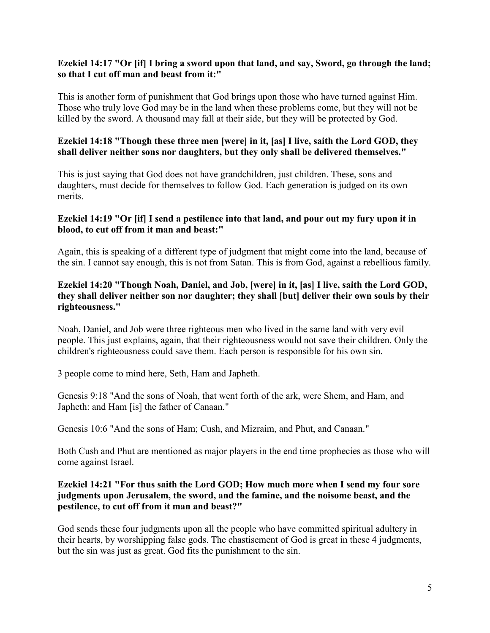## **Ezekiel 14:17 "Or [if] I bring a sword upon that land, and say, Sword, go through the land; so that I cut off man and beast from it:"**

This is another form of punishment that God brings upon those who have turned against Him. Those who truly love God may be in the land when these problems come, but they will not be killed by the sword. A thousand may fall at their side, but they will be protected by God.

# **Ezekiel 14:18 "Though these three men [were] in it, [as] I live, saith the Lord GOD, they shall deliver neither sons nor daughters, but they only shall be delivered themselves."**

This is just saying that God does not have grandchildren, just children. These, sons and daughters, must decide for themselves to follow God. Each generation is judged on its own merits.

# **Ezekiel 14:19 "Or [if] I send a pestilence into that land, and pour out my fury upon it in blood, to cut off from it man and beast:"**

Again, this is speaking of a different type of judgment that might come into the land, because of the sin. I cannot say enough, this is not from Satan. This is from God, against a rebellious family.

## **Ezekiel 14:20 "Though Noah, Daniel, and Job, [were] in it, [as] I live, saith the Lord GOD, they shall deliver neither son nor daughter; they shall [but] deliver their own souls by their righteousness."**

Noah, Daniel, and Job were three righteous men who lived in the same land with very evil people. This just explains, again, that their righteousness would not save their children. Only the children's righteousness could save them. Each person is responsible for his own sin.

3 people come to mind here, Seth, Ham and Japheth.

Genesis 9:18 "And the sons of Noah, that went forth of the ark, were Shem, and Ham, and Japheth: and Ham [is] the father of Canaan."

Genesis 10:6 "And the sons of Ham; Cush, and Mizraim, and Phut, and Canaan."

Both Cush and Phut are mentioned as major players in the end time prophecies as those who will come against Israel.

## **Ezekiel 14:21 "For thus saith the Lord GOD; How much more when I send my four sore judgments upon Jerusalem, the sword, and the famine, and the noisome beast, and the pestilence, to cut off from it man and beast?"**

God sends these four judgments upon all the people who have committed spiritual adultery in their hearts, by worshipping false gods. The chastisement of God is great in these 4 judgments, but the sin was just as great. God fits the punishment to the sin.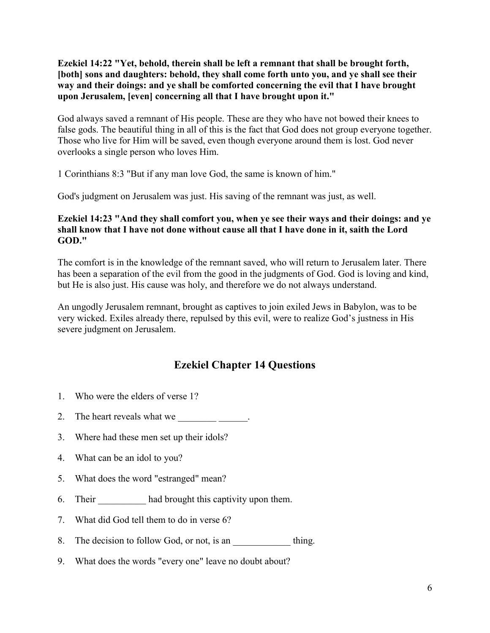**Ezekiel 14:22 "Yet, behold, therein shall be left a remnant that shall be brought forth, [both] sons and daughters: behold, they shall come forth unto you, and ye shall see their way and their doings: and ye shall be comforted concerning the evil that I have brought upon Jerusalem, [even] concerning all that I have brought upon it."**

God always saved a remnant of His people. These are they who have not bowed their knees to false gods. The beautiful thing in all of this is the fact that God does not group everyone together. Those who live for Him will be saved, even though everyone around them is lost. God never overlooks a single person who loves Him.

1 Corinthians 8:3 "But if any man love God, the same is known of him."

God's judgment on Jerusalem was just. His saving of the remnant was just, as well.

#### **Ezekiel 14:23 "And they shall comfort you, when ye see their ways and their doings: and ye shall know that I have not done without cause all that I have done in it, saith the Lord GOD."**

The comfort is in the knowledge of the remnant saved, who will return to Jerusalem later. There has been a separation of the evil from the good in the judgments of God. God is loving and kind, but He is also just. His cause was holy, and therefore we do not always understand.

An ungodly Jerusalem remnant, brought as captives to join exiled Jews in Babylon, was to be very wicked. Exiles already there, repulsed by this evil, were to realize God's justness in His severe judgment on Jerusalem.

# **Ezekiel Chapter 14 Questions**

- 1. Who were the elders of verse 1?
- 2. The heart reveals what we  $\sim$
- 3. Where had these men set up their idols?
- 4. What can be an idol to you?
- 5. What does the word "estranged" mean?
- 6. Their had brought this captivity upon them.
- 7. What did God tell them to do in verse 6?
- 8. The decision to follow God, or not, is an  $\qquad \qquad$  thing.
- 9. What does the words "every one" leave no doubt about?